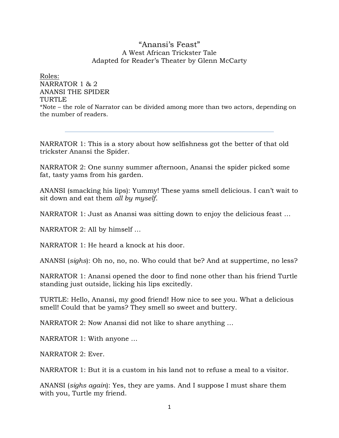## "Anansi's Feast" A West African Trickster Tale Adapted for Reader's Theater by Glenn McCarty

Roles: NARRATOR 1 & 2 ANANSI THE SPIDER TURTLE \*Note – the role of Narrator can be divided among more than two actors, depending on the number of readers.

NARRATOR 1: This is a story about how selfishness got the better of that old trickster Anansi the Spider.

NARRATOR 2: One sunny summer afternoon, Anansi the spider picked some fat, tasty yams from his garden.

ANANSI (smacking his lips): Yummy! These yams smell delicious. I can't wait to sit down and eat them *all by myself*.

NARRATOR 1: Just as Anansi was sitting down to enjoy the delicious feast …

NARRATOR 2: All by himself …

NARRATOR 1: He heard a knock at his door.

ANANSI (*sighs*): Oh no, no, no. Who could that be? And at suppertime, no less?

NARRATOR 1: Anansi opened the door to find none other than his friend Turtle standing just outside, licking his lips excitedly.

TURTLE: Hello, Anansi, my good friend! How nice to see you. What a delicious smell! Could that be yams? They smell so sweet and buttery.

NARRATOR 2: Now Anansi did not like to share anything …

NARRATOR 1: With anyone …

NARRATOR 2: Ever.

NARRATOR 1: But it is a custom in his land not to refuse a meal to a visitor.

ANANSI (*sighs again*): Yes, they are yams. And I suppose I must share them with you, Turtle my friend.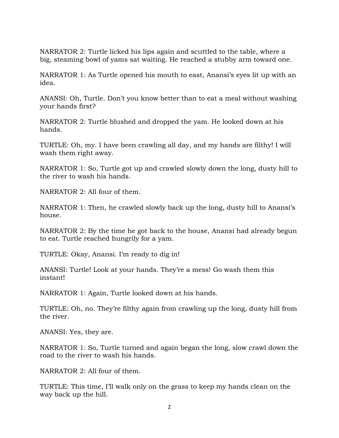NARRATOR 2: Turtle licked his lips again and scuttled to the table, where a big, steaming bowl of yams sat waiting. He reached a stubby arm toward one.

NARRATOR 1: As Turtle opened his mouth to east, Anansi's eyes lit up with an idea.

ANANSI: Oh, Turtle. Don't you know better than to eat a meal without washing your hands first?

NARRATOR 2: Turtle blushed and dropped the yam. He looked down at his hands.

TURTLE: Oh, my. I have been crawling all day, and my hands are filthy! I will wash them right away.

NARRATOR 1: So, Turtle got up and crawled slowly down the long, dusty hill to the river to wash his hands.

NARRATOR 2: All four of them.

NARRATOR 1: Then, he crawled slowly back up the long, dusty hill to Anansi's house.

NARRATOR 2: By the time he got back to the house, Anansi had already begun to eat. Turtle reached hungrily for a yam.

TURTLE: Okay, Anansi. I'm ready to dig in!

ANANSI: Turtle! Look at your hands. They're a mess! Go wash them this instant!

NARRATOR 1: Again, Turtle looked down at his hands.

TURTLE: Oh, no. They're filthy again from crawling up the long, dusty hill from the river.

ANANSI: Yes, they are.

NARRATOR 1: So, Turtle turned and again began the long, slow crawl down the road to the river to wash his hands.

NARRATOR 2: All four of them.

TURTLE: This time, I'll walk only on the grass to keep my hands clean on the way back up the hill.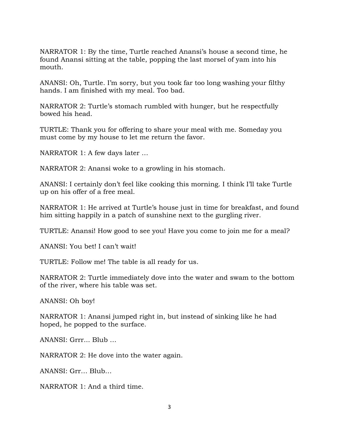NARRATOR 1: By the time, Turtle reached Anansi's house a second time, he found Anansi sitting at the table, popping the last morsel of yam into his mouth.

ANANSI: Oh, Turtle. I'm sorry, but you took far too long washing your filthy hands. I am finished with my meal. Too bad.

NARRATOR 2: Turtle's stomach rumbled with hunger, but he respectfully bowed his head.

TURTLE: Thank you for offering to share your meal with me. Someday you must come by my house to let me return the favor.

NARRATOR 1: A few days later …

NARRATOR 2: Anansi woke to a growling in his stomach.

ANANSI: I certainly don't feel like cooking this morning. I think I'll take Turtle up on his offer of a free meal.

NARRATOR 1: He arrived at Turtle's house just in time for breakfast, and found him sitting happily in a patch of sunshine next to the gurgling river.

TURTLE: Anansi! How good to see you! Have you come to join me for a meal?

ANANSI: You bet! I can't wait!

TURTLE: Follow me! The table is all ready for us.

NARRATOR 2: Turtle immediately dove into the water and swam to the bottom of the river, where his table was set.

ANANSI: Oh boy!

NARRATOR 1: Anansi jumped right in, but instead of sinking like he had hoped, he popped to the surface.

ANANSI: Grrr... Blub …

NARRATOR 2: He dove into the water again.

ANANSI: Grr… Blub…

NARRATOR 1: And a third time.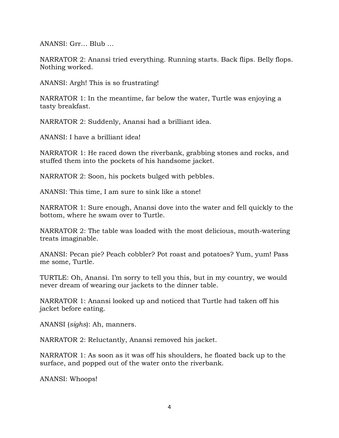ANANSI: Grr… Blub …

NARRATOR 2: Anansi tried everything. Running starts. Back flips. Belly flops. Nothing worked.

ANANSI: Argh! This is so frustrating!

NARRATOR 1: In the meantime, far below the water, Turtle was enjoying a tasty breakfast.

NARRATOR 2: Suddenly, Anansi had a brilliant idea.

ANANSI: I have a brilliant idea!

NARRATOR 1: He raced down the riverbank, grabbing stones and rocks, and stuffed them into the pockets of his handsome jacket.

NARRATOR 2: Soon, his pockets bulged with pebbles.

ANANSI: This time, I am sure to sink like a stone!

NARRATOR 1: Sure enough, Anansi dove into the water and fell quickly to the bottom, where he swam over to Turtle.

NARRATOR 2: The table was loaded with the most delicious, mouth-watering treats imaginable.

ANANSI: Pecan pie? Peach cobbler? Pot roast and potatoes? Yum, yum! Pass me some, Turtle.

TURTLE: Oh, Anansi. I'm sorry to tell you this, but in my country, we would never dream of wearing our jackets to the dinner table.

NARRATOR 1: Anansi looked up and noticed that Turtle had taken off his jacket before eating.

ANANSI (*sighs*): Ah, manners.

NARRATOR 2: Reluctantly, Anansi removed his jacket.

NARRATOR 1: As soon as it was off his shoulders, he floated back up to the surface, and popped out of the water onto the riverbank.

ANANSI: Whoops!